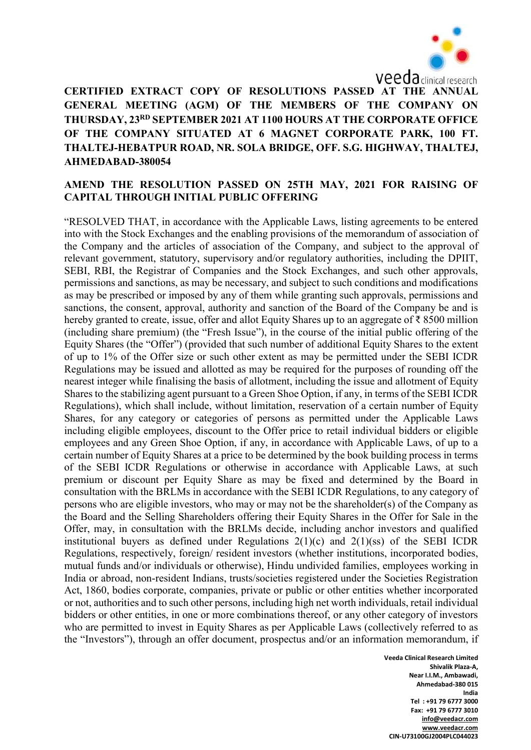

CERTIFIED EXTRACT COPY OF RESOLUTIONS PASSED AT THE ANNUAL GENERAL MEETING (AGM) OF THE MEMBERS OF THE COMPANY ON THURSDAY, 23RD SEPTEMBER 2021 AT 1100 HOURS AT THE CORPORATE OFFICE OF THE COMPANY SITUATED AT 6 MAGNET CORPORATE PARK, 100 FT. THALTEJ-HEBATPUR ROAD, NR. SOLA BRIDGE, OFF. S.G. HIGHWAY, THALTEJ, AHMEDABAD-380054

## AMEND THE RESOLUTION PASSED ON 25TH MAY, 2021 FOR RAISING OF CAPITAL THROUGH INITIAL PUBLIC OFFERING

"RESOLVED THAT, in accordance with the Applicable Laws, listing agreements to be entered into with the Stock Exchanges and the enabling provisions of the memorandum of association of the Company and the articles of association of the Company, and subject to the approval of relevant government, statutory, supervisory and/or regulatory authorities, including the DPIIT, SEBI, RBI, the Registrar of Companies and the Stock Exchanges, and such other approvals, permissions and sanctions, as may be necessary, and subject to such conditions and modifications as may be prescribed or imposed by any of them while granting such approvals, permissions and sanctions, the consent, approval, authority and sanction of the Board of the Company be and is hereby granted to create, issue, offer and allot Equity Shares up to an aggregate of ₹ 8500 million (including share premium) (the "Fresh Issue"), in the course of the initial public offering of the Equity Shares (the "Offer") (provided that such number of additional Equity Shares to the extent of up to 1% of the Offer size or such other extent as may be permitted under the SEBI ICDR Regulations may be issued and allotted as may be required for the purposes of rounding off the nearest integer while finalising the basis of allotment, including the issue and allotment of Equity Shares to the stabilizing agent pursuant to a Green Shoe Option, if any, in terms of the SEBI ICDR Regulations), which shall include, without limitation, reservation of a certain number of Equity Shares, for any category or categories of persons as permitted under the Applicable Laws including eligible employees, discount to the Offer price to retail individual bidders or eligible employees and any Green Shoe Option, if any, in accordance with Applicable Laws, of up to a certain number of Equity Shares at a price to be determined by the book building process in terms of the SEBI ICDR Regulations or otherwise in accordance with Applicable Laws, at such premium or discount per Equity Share as may be fixed and determined by the Board in consultation with the BRLMs in accordance with the SEBI ICDR Regulations, to any category of persons who are eligible investors, who may or may not be the shareholder(s) of the Company as the Board and the Selling Shareholders offering their Equity Shares in the Offer for Sale in the Offer, may, in consultation with the BRLMs decide, including anchor investors and qualified institutional buyers as defined under Regulations  $2(1)(c)$  and  $2(1)(ss)$  of the SEBI ICDR Regulations, respectively, foreign/ resident investors (whether institutions, incorporated bodies, mutual funds and/or individuals or otherwise), Hindu undivided families, employees working in India or abroad, non-resident Indians, trusts/societies registered under the Societies Registration Act, 1860, bodies corporate, companies, private or public or other entities whether incorporated or not, authorities and to such other persons, including high net worth individuals, retail individual bidders or other entities, in one or more combinations thereof, or any other category of investors who are permitted to invest in Equity Shares as per Applicable Laws (collectively referred to as the "Investors"), through an offer document, prospectus and/or an information memorandum, if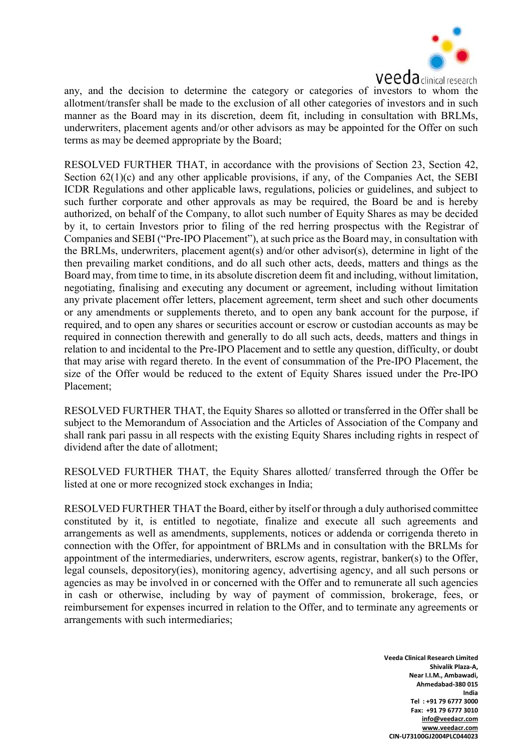

any, and the decision to determine the category or categories of investors to whom the allotment/transfer shall be made to the exclusion of all other categories of investors and in such manner as the Board may in its discretion, deem fit, including in consultation with BRLMs, underwriters, placement agents and/or other advisors as may be appointed for the Offer on such terms as may be deemed appropriate by the Board;

RESOLVED FURTHER THAT, in accordance with the provisions of Section 23, Section 42, Section  $62(1)(c)$  and any other applicable provisions, if any, of the Companies Act, the SEBI ICDR Regulations and other applicable laws, regulations, policies or guidelines, and subject to such further corporate and other approvals as may be required, the Board be and is hereby authorized, on behalf of the Company, to allot such number of Equity Shares as may be decided by it, to certain Investors prior to filing of the red herring prospectus with the Registrar of Companies and SEBI ("Pre-IPO Placement"), at such price as the Board may, in consultation with the BRLMs, underwriters, placement agent(s) and/or other advisor(s), determine in light of the then prevailing market conditions, and do all such other acts, deeds, matters and things as the Board may, from time to time, in its absolute discretion deem fit and including, without limitation, negotiating, finalising and executing any document or agreement, including without limitation any private placement offer letters, placement agreement, term sheet and such other documents or any amendments or supplements thereto, and to open any bank account for the purpose, if required, and to open any shares or securities account or escrow or custodian accounts as may be required in connection therewith and generally to do all such acts, deeds, matters and things in relation to and incidental to the Pre-IPO Placement and to settle any question, difficulty, or doubt that may arise with regard thereto. In the event of consummation of the Pre-IPO Placement, the size of the Offer would be reduced to the extent of Equity Shares issued under the Pre-IPO Placement;

RESOLVED FURTHER THAT, the Equity Shares so allotted or transferred in the Offer shall be subject to the Memorandum of Association and the Articles of Association of the Company and shall rank pari passu in all respects with the existing Equity Shares including rights in respect of dividend after the date of allotment;

RESOLVED FURTHER THAT, the Equity Shares allotted/ transferred through the Offer be listed at one or more recognized stock exchanges in India;

RESOLVED FURTHER THAT the Board, either by itself or through a duly authorised committee constituted by it, is entitled to negotiate, finalize and execute all such agreements and arrangements as well as amendments, supplements, notices or addenda or corrigenda thereto in connection with the Offer, for appointment of BRLMs and in consultation with the BRLMs for appointment of the intermediaries, underwriters, escrow agents, registrar, banker(s) to the Offer, legal counsels, depository(ies), monitoring agency, advertising agency, and all such persons or agencies as may be involved in or concerned with the Offer and to remunerate all such agencies in cash or otherwise, including by way of payment of commission, brokerage, fees, or reimbursement for expenses incurred in relation to the Offer, and to terminate any agreements or arrangements with such intermediaries;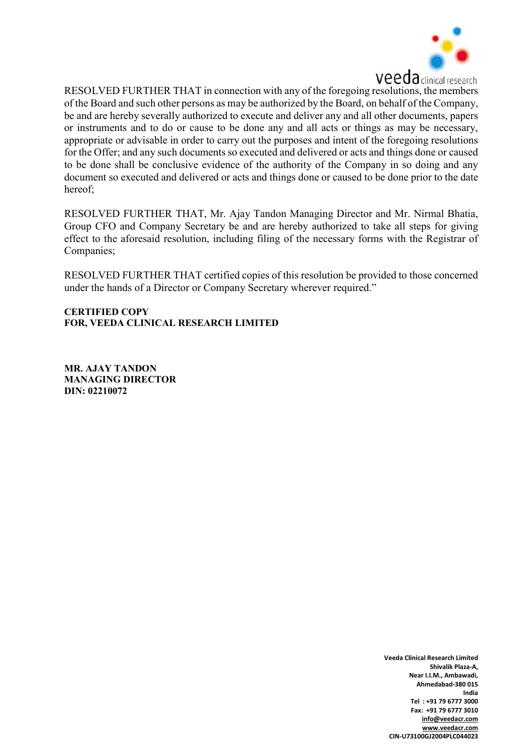

RESOLVED FURTHER THAT in connection with any of the foregoing resolutions, the members of the Board and such other persons as may be authorized by the Board, on behalf of the Company, be and are hereby severally authorized to execute and deliver any and all other documents, papers or instruments and to do or cause to be done any and all acts or things as may be necessary, appropriate or advisable in order to carry out the purposes and intent of the foregoing resolutions for the Offer; and any such documents so executed and delivered or acts and things done or caused to be done shall be conclusive evidence of the authority of the Company in so doing and any document so executed and delivered or acts and things done or caused to be done prior to the date hereof;

RESOLVED FURTHER THAT, Mr. Ajay Tandon Managing Director and Mr. Nirmal Bhatia, Group CFO and Company Secretary be and are hereby authorized to take all steps for giving effect to the aforesaid resolution, including filing of the necessary forms with the Registrar of Companies;

RESOLVED FURTHER THAT certified copies of this resolution be provided to those concerned under the hands of a Director or Company Secretary wherever required."

CERTIFIED COPY FOR, VEEDA CLINICAL RESEARCH LIMITED

MR. AJAY TANDON MANAGING DIRECTOR DIN: 02210072